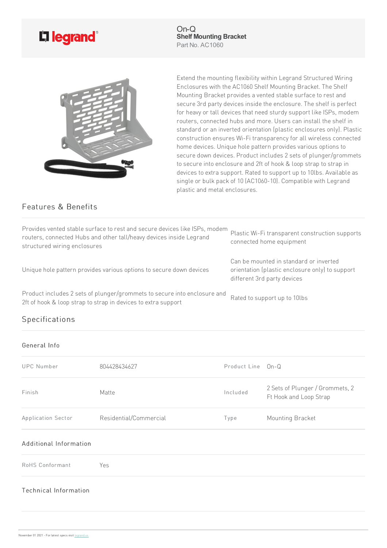

On-Q **Shelf Mounting Bracket** Part No. AC1060



Extend the mounting flexibility within Legrand Structured Wiring Enclosures with the AC1060 Shelf Mounting Bracket. The Shelf Mounting Bracket provides a vented stable surface to rest and secure 3rd party devices inside the enclosure. The shelf is perfect for heavy or tall devices that need sturdy support like ISPs, modem routers, connected hubs and more. Users can install the shelf in standard or an inverted orientation (plastic enclosures only). Plastic construction ensures Wi-Fi transparency for all wireless connected home devices. Unique hole pattern provides various options to secure down devices. Product includes 2 sets of plunger/grommets to secure into enclosure and 2ft of hook & loop strap to strap in devices to extra support. Rated to support up to 10lbs. Available as single or bulk pack of 10 (AC1060-10). Compatible with Legrand plasticand metal enclosures.

## Features & Benefits

| Provides vented stable surface to rest and secure devices like ISPs, modem<br>routers, connected Hubs and other tall/heavy devices inside Legrand<br>structured wiring enclosures | Plastic Wi-Fi transparent construction supports<br>connected home equipment                                              |
|-----------------------------------------------------------------------------------------------------------------------------------------------------------------------------------|--------------------------------------------------------------------------------------------------------------------------|
| Unique hole pattern provides various options to secure down devices                                                                                                               | Can be mounted in standard or inverted<br>orientation (plastic enclosure only) to support<br>different 3rd party devices |
| Product includes 2 sets of plunger/grommets to secure into enclosure and<br>2ft of hook & loop strap to strap in devices to extra support                                         | Rated to support up to 10lbs                                                                                             |

## Specifications

## General Info

| <b>UPC Number</b>      | 804428434627           | Product Line On-Q |                                                           |
|------------------------|------------------------|-------------------|-----------------------------------------------------------|
| Finish                 | Matte                  | Included          | 2 Sets of Plunger / Grommets, 2<br>Ft Hook and Loop Strap |
| Application Sector     | Residential/Commercial | Type              | Mounting Bracket                                          |
| Additional Information |                        |                   |                                                           |
| RoHS Conformant        | Yes                    |                   |                                                           |

## Technical Information